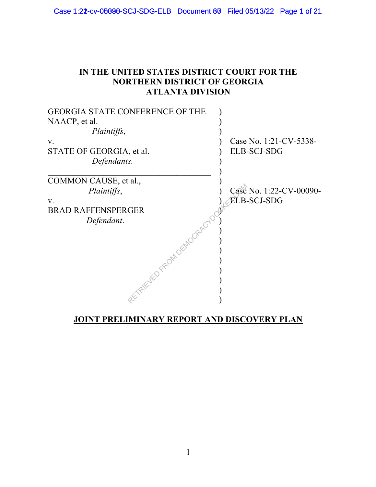#### **IN THE UNITED STATES DISTRICT COURT FOR THE NORTHERN DISTRICT OF GEORGIA ATLANTA DIVISION**

| <b>GEORGIA STATE CONFERENCE OF THE</b> |                         |
|----------------------------------------|-------------------------|
| NAACP, et al.                          |                         |
| Plaintiffs,                            |                         |
| $V_{\cdot}$                            | Case No. 1:21-CV-5338-  |
| STATE OF GEORGIA, et al.               | <b>ELB-SCJ-SDG</b>      |
| Defendants.                            |                         |
| COMMON CAUSE, et al.,                  |                         |
| Plaintiffs,                            | Case No. 1:22-CV-00090- |
| V.                                     | <b>ELB-SCJ-SDG</b>      |
| <b>BRAD RAFFENSPERGER</b>              |                         |
| Defendant.                             |                         |
| AFTAIRYED FROM DEMOGRAPC               |                         |
|                                        |                         |
|                                        |                         |
|                                        |                         |

#### **JOINT PRELIMINARY REPORT AND DISCOVERY PLAN**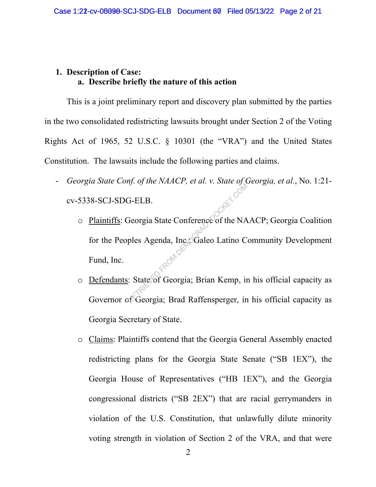#### **1. Description of Case: a. Describe briefly the nature of this action**

This is a joint preliminary report and discovery plan submitted by the parties in the two consolidated redistricting lawsuits brought under Section 2 of the Voting Rights Act of 1965, 52 U.S.C. § 10301 (the "VRA") and the United States Constitution. The lawsuits include the following parties and claims.

- *Georgia State Conf. of the NAACP, et al. v. State of Georgia, et al.*, No. 1:21 cv-5338-SCJ-SDG-ELB.
	- o Plaintiffs: Georgia State Conference of the NAACP; Georgia Coalition for the Peoples Agenda, Inc. Galeo Latino Community Development Fund, Inc. G-ELB.<br>
	Seorgia State Conference of the NA<br>
	ples Agenda, Inc. Galeo Latino C<br>
	: State of Georgia; Brian Kemp, inc.
	- o Defendants: State of Georgia; Brian Kemp, in his official capacity as Governor of Georgia; Brad Raffensperger, in his official capacity as Georgia Secretary of State.
	- o Claims: Plaintiffs contend that the Georgia General Assembly enacted redistricting plans for the Georgia State Senate ("SB 1EX"), the Georgia House of Representatives ("HB 1EX"), and the Georgia congressional districts ("SB 2EX") that are racial gerrymanders in violation of the U.S. Constitution, that unlawfully dilute minority voting strength in violation of Section 2 of the VRA, and that were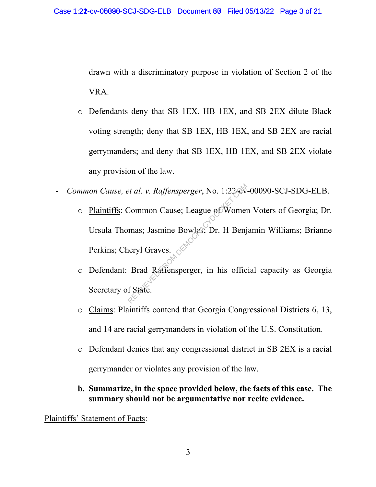drawn with a discriminatory purpose in violation of Section 2 of the VRA.

- o Defendants deny that SB 1EX, HB 1EX, and SB 2EX dilute Black voting strength; deny that SB 1EX, HB 1EX, and SB 2EX are racial gerrymanders; and deny that SB 1EX, HB 1EX, and SB 2EX violate any provision of the law.
- *Common Cause, et al. v. Raffensperger*, No. 1:22-cv-00090-SCJ-SDG-ELB.
- o Plaintiffs: Common Cause; League of Women Voters of Georgia; Dr. Ursula Thomas; Jasmine Bowles; Dr. H Benjamin Williams; Brianne Perkins; Cheryl Graves. et al. v. Raffensperger, No. 1:22-60<br>Common Cause; League of Womer<br>mas; Jasmine Bowles; Dr. H Benj<br>neryl Graves.<br>Brad Raffensperger, in his offic<br>f State.
	- o Defendant: Brad Raffensperger, in his official capacity as Georgia Secretary of State.
	- o Claims: Plaintiffs contend that Georgia Congressional Districts 6, 13, and 14 are racial gerrymanders in violation of the U.S. Constitution.
	- o Defendant denies that any congressional district in SB 2EX is a racial gerrymander or violates any provision of the law.
	- **b. Summarize, in the space provided below, the facts of this case. The summary should not be argumentative nor recite evidence.**

Plaintiffs' Statement of Facts: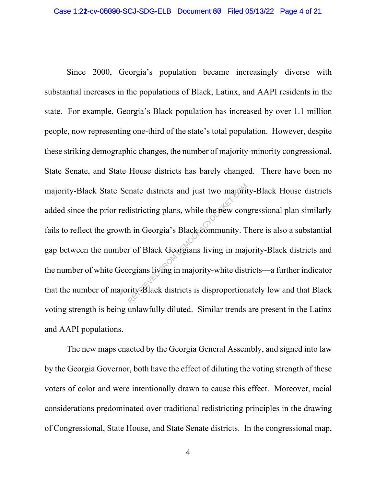Since 2000, Georgia's population became increasingly diverse with substantial increases in the populations of Black, Latinx, and AAPI residents in the state. For example, Georgia's Black population has increased by over 1.1 million people, now representing one-third of the state's total population. However, despite these striking demographic changes, the number of majority-minority congressional, State Senate, and State House districts has barely changed. There have been no majority-Black State Senate districts and just two majority-Black House districts added since the prior redistricting plans, while the new congressional plan similarly fails to reflect the growth in Georgia's Black community. There is also a substantial gap between the number of Black Georgians living in majority-Black districts and the number of white Georgians living in majority-white districts—a further indicator that the number of majority-Black districts is disproportionately low and that Black voting strength is being unlawfully diluted. Similar trends are present in the Latinx and AAPI populations. France districts and just two majorit<br>
listricting plans, while the new con<br>
h in Georgia's Black community. T<br>
r of Black Georgians living in major<br>
prediction of the majority-white districts<br>
ity Black districts is dispr

The new maps enacted by the Georgia General Assembly, and signed into law by the Georgia Governor, both have the effect of diluting the voting strength of these voters of color and were intentionally drawn to cause this effect. Moreover, racial considerations predominated over traditional redistricting principles in the drawing of Congressional, State House, and State Senate districts. In the congressional map,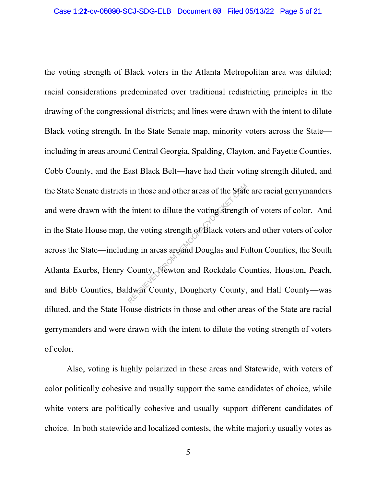the voting strength of Black voters in the Atlanta Metropolitan area was diluted; racial considerations predominated over traditional redistricting principles in the drawing of the congressional districts; and lines were drawn with the intent to dilute Black voting strength. In the State Senate map, minority voters across the State including in areas around Central Georgia, Spalding, Clayton, and Fayette Counties, Cobb County, and the East Black Belt—have had their voting strength diluted, and the State Senate districts in those and other areas of the State are racial gerrymanders and were drawn with the intent to dilute the voting strength of voters of color. And in the State House map, the voting strength of Black voters and other voters of color across the State—including in areas around Douglas and Fulton Counties, the South Atlanta Exurbs, Henry County, Newton and Rockdale Counties, Houston, Peach, and Bibb Counties, Baldwin County, Dougherty County, and Hall County—was diluted, and the State House districts in those and other areas of the State are racial gerrymanders and were drawn with the intent to dilute the voting strength of voters of color. in those and other areas of the State<br>
e intent to dilute the voting strength<br>
the voting strength of Black voters<br>
ing in areas around Douglas and Fu<br>
County, Newton and Rockdale Co<br>
dwin County, Dougherty County,

Also, voting is highly polarized in these areas and Statewide, with voters of color politically cohesive and usually support the same candidates of choice, while white voters are politically cohesive and usually support different candidates of choice. In both statewide and localized contests, the white majority usually votes as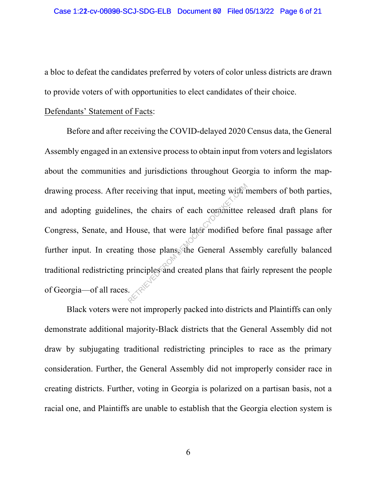a bloc to defeat the candidates preferred by voters of color unless districts are drawn to provide voters of with opportunities to elect candidates of their choice.

#### Defendants' Statement of Facts:

Before and after receiving the COVID-delayed 2020 Census data, the General Assembly engaged in an extensive process to obtain input from voters and legislators about the communities and jurisdictions throughout Georgia to inform the mapdrawing process. After receiving that input, meeting with members of both parties, and adopting guidelines, the chairs of each committee released draft plans for Congress, Senate, and House, that were later modified before final passage after further input. In creating those plans, the General Assembly carefully balanced traditional redistricting principles and created plans that fairly represent the people of Georgia—of all races. receiving that input, meeting with r<br>s, the chairs of each committee :<br>House, that were later modified be<br>ng those plans, the General Asser<br>principles and created plans that fa

Black voters were not improperly packed into districts and Plaintiffs can only demonstrate additional majority-Black districts that the General Assembly did not draw by subjugating traditional redistricting principles to race as the primary consideration. Further, the General Assembly did not improperly consider race in creating districts. Further, voting in Georgia is polarized on a partisan basis, not a racial one, and Plaintiffs are unable to establish that the Georgia election system is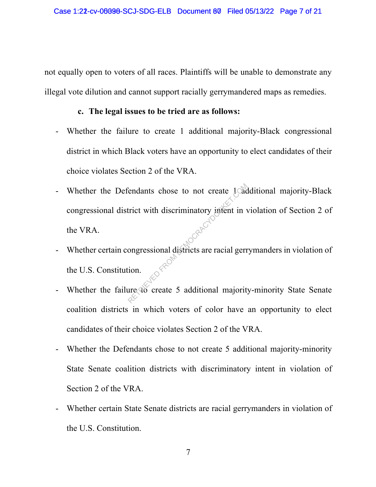not equally open to voters of all races. Plaintiffs will be unable to demonstrate any illegal vote dilution and cannot support racially gerrymandered maps as remedies.

#### **c. The legal issues to be tried are as follows:**

- Whether the failure to create 1 additional majority-Black congressional district in which Black voters have an opportunity to elect candidates of their choice violates Section 2 of the VRA.
- Whether the Defendants chose to not create 1 additional majority-Black congressional district with discriminatory intent in violation of Section 2 of the VRA. Endants chose to not create 1 act<br>trict with discriminatory intent in v<br>ongressional districts are racial gerre<br>ion.<br>tre to create 5 additional majority
- Whether certain congressional districts are racial gerrymanders in violation of the U.S. Constitution.
- Whether the failure to create 5 additional majority-minority State Senate coalition districts in which voters of color have an opportunity to elect candidates of their choice violates Section 2 of the VRA.
- Whether the Defendants chose to not create 5 additional majority-minority State Senate coalition districts with discriminatory intent in violation of Section 2 of the VRA.
- Whether certain State Senate districts are racial gerrymanders in violation of the U.S. Constitution.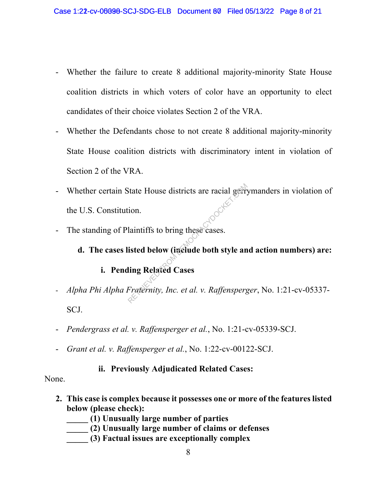- Whether the failure to create 8 additional majority-minority State House coalition districts in which voters of color have an opportunity to elect candidates of their choice violates Section 2 of the VRA.
- Whether the Defendants chose to not create 8 additional majority-minority State House coalition districts with discriminatory intent in violation of Section 2 of the VRA.
- Whether certain State House districts are racial gerrymanders in violation of the U.S. Constitution. State House districts are racial germinon.<br>
laintiffs to bring these cases.<br> **isted below (include both style anting Related Cases**<br>
Fraternity, Inc. et al. v. Raffensperg
- The standing of Plaintiffs to bring these cases.

#### **d. The cases listed below (include both style and action numbers) are:**

#### **i. Pending Related Cases**

- *Alpha Phi Alpha Fraternity, Inc. et al. v. Raffensperger*, No. 1:21-cv-05337- SCJ.
- *Pendergrass et al. v. Raffensperger et al.*, No. 1:21-cv-05339-SCJ.
- *Grant et al. v. Raffensperger et al.*, No. 1:22-cv-00122-SCJ.

**ii. Previously Adjudicated Related Cases:**

None.

- **2. This case is complex because it possesses one or more of the features listed below (please check):**
	- **\_\_\_\_\_ (1) Unusually large number of parties**
	- **\_\_\_\_\_ (2) Unusually large number of claims or defenses**
	- **\_\_\_\_\_ (3) Factual issues are exceptionally complex**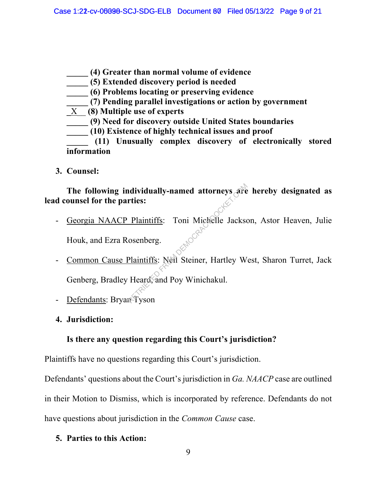- **\_\_\_\_\_ (4) Greater than normal volume of evidence**
- **\_\_\_\_\_ (5) Extended discovery period is needed**
- **\_\_\_\_\_ (6) Problems locating or preserving evidence**
- **\_\_\_\_\_ (7) Pending parallel investigations or action by government**
- **\_**X\_\_ **(8) Multiple use of experts**
- **\_\_\_\_\_ (9) Need for discovery outside United States boundaries**
	- **\_\_\_\_\_ (10) Existence of highly technical issues and proof**

**\_\_\_\_\_ (11) Unusually complex discovery of electronically stored information**

**3. Counsel:**

**The following individually-named attorneys are hereby designated as lead counsel for the parties:**

- Georgia NAACP Plaintiffs: Toni Michelle Jackson, Astor Heaven, Julie Houk, and Ezra Rosenberg.
- Common Cause Plaintiffs: Neil Steiner, Hartley West, Sharon Turret, Jack Genberg, Bradley Heard, and Poy Winichakul. Manually-named attorneys are<br>
rties:<br>
Plaintiffs: Toni Michelle Jackso<br>
osenberg.<br>
Plaintiffs: Nell Steiner, Hartley W<br>
Heard, and Poy Winichakul.<br>
ReTyson
- Defendants: Bryan Tyson
- **4. Jurisdiction:**

#### **Is there any question regarding this Court's jurisdiction?**

Plaintiffs have no questions regarding this Court's jurisdiction.

Defendants' questions about the Court's jurisdiction in *Ga. NAACP* case are outlined in their Motion to Dismiss, which is incorporated by reference. Defendants do not have questions about jurisdiction in the *Common Cause* case.

**5. Parties to this Action:**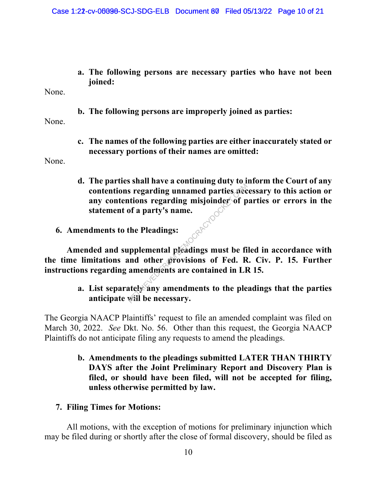**a. The following persons are necessary parties who have not been joined:**

None.

**b. The following persons are improperly joined as parties:**

None.

**c. The names of the following parties are either inaccurately stated or necessary portions of their names are omitted:**

None.

- **d. The parties shall have a continuing duty to inform the Court of any contentions regarding unnamed parties necessary to this action or any contentions regarding misjoinder of parties or errors in the statement of a party's name.**<br>dments to the Pland: Represention of a party's name.<br>
The Pleadings:<br>
The Pleadings:<br>
Upplemental pleadings must be find other provisions of Fed. Representing amendments are contained in LH<br>
That and  $\alpha$  are contained in LH<br>
That Ely any amen
- **6. Amendments to the Pleadings:**

**Amended and supplemental pleadings must be filed in accordance with the time limitations and other provisions of Fed. R. Civ. P. 15. Further instructions regarding amendments are contained in LR 15.**

> **a. List separately any amendments to the pleadings that the parties anticipate will be necessary.**

The Georgia NAACP Plaintiffs' request to file an amended complaint was filed on March 30, 2022. *See* Dkt. No. 56. Other than this request, the Georgia NAACP Plaintiffs do not anticipate filing any requests to amend the pleadings.

> **b. Amendments to the pleadings submitted LATER THAN THIRTY DAYS after the Joint Preliminary Report and Discovery Plan is filed, or should have been filed, will not be accepted for filing, unless otherwise permitted by law.**

#### **7. Filing Times for Motions:**

All motions, with the exception of motions for preliminary injunction which may be filed during or shortly after the close of formal discovery, should be filed as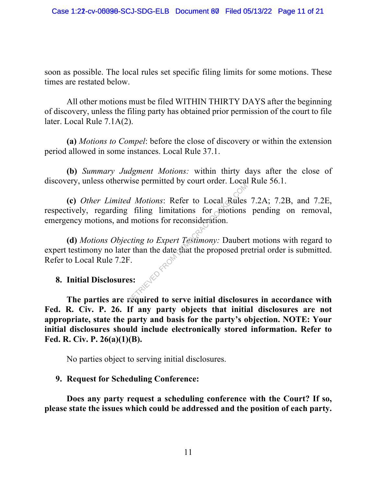soon as possible. The local rules set specific filing limits for some motions. These times are restated below.

All other motions must be filed WITHIN THIRTY DAYS after the beginning of discovery, unless the filing party has obtained prior permission of the court to file later. Local Rule 7.1A(2).

**(a)** *Motions to Compel*: before the close of discovery or within the extension period allowed in some instances. Local Rule 37.1.

**(b)** *Summary Judgment Motions:* within thirty days after the close of discovery, unless otherwise permitted by court order. Local Rule 56.1.

**(c)** *Other Limited Motions*: Refer to Local Rules 7.2A; 7.2B, and 7.2E, respectively, regarding filing limitations for motions pending on removal, emergency motions, and motions for reconsideration. *d Motions:* Refer to Local Rules<br>filing limitations for motions<br>l motions for reconsideration.<br>*cting to Expert Testimony:* Dauber<br>r than the date that the proposed pr<br>F.<br>s.<br>es:

**(d)** *Motions Objecting to Expert Testimony:* Daubert motions with regard to expert testimony no later than the date that the proposed pretrial order is submitted. Refer to Local Rule 7.2F.

## **8. Initial Disclosures:**

**The parties are required to serve initial disclosures in accordance with Fed. R. Civ. P. 26. If any party objects that initial disclosures are not appropriate, state the party and basis for the party's objection. NOTE: Your initial disclosures should include electronically stored information. Refer to Fed. R. Civ. P. 26(a)(1)(B).**

No parties object to serving initial disclosures.

#### **9. Request for Scheduling Conference:**

**Does any party request a scheduling conference with the Court? If so, please state the issues which could be addressed and the position of each party.**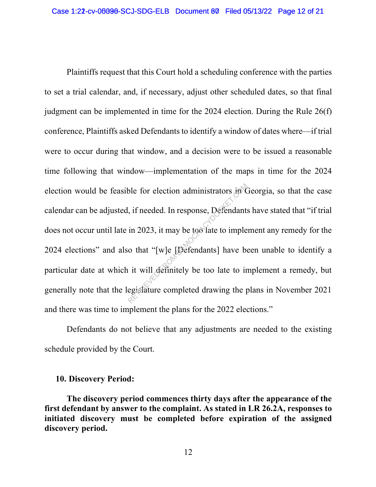Plaintiffs request that this Court hold a scheduling conference with the parties to set a trial calendar, and, if necessary, adjust other scheduled dates, so that final judgment can be implemented in time for the 2024 election. During the Rule 26(f) conference, Plaintiffs asked Defendants to identify a window of dates where—if trial were to occur during that window, and a decision were to be issued a reasonable time following that window—implementation of the maps in time for the 2024 election would be feasible for election administrators in Georgia, so that the case calendar can be adjusted, if needed. In response, Defendants have stated that "if trial does not occur until late in 2023, it may be too late to implement any remedy for the 2024 elections" and also that "[w]e [Defendants] have been unable to identify a particular date at which it will definitely be too late to implement a remedy, but generally note that the legislature completed drawing the plans in November 2021 and there was time to implement the plans for the 2022 elections." ble for election administrators in the set of the set of the set of that in 2023, it may be too late to imple o that "[w]e [Defendants] have be it will definitely be too late to in egistature completed drawing the p

Defendants do not believe that any adjustments are needed to the existing schedule provided by the Court.

#### **10. Discovery Period:**

**The discovery period commences thirty days after the appearance of the first defendant by answer to the complaint. As stated in LR 26.2A, responses to initiated discovery must be completed before expiration of the assigned discovery period.**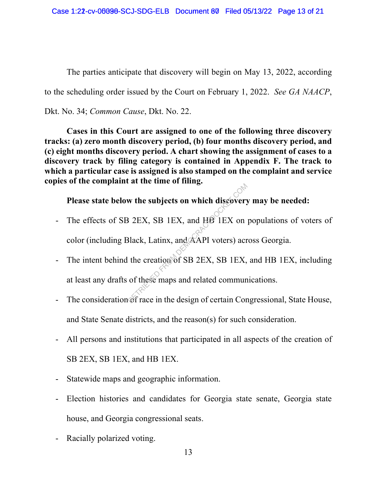The parties anticipate that discovery will begin on May 13, 2022, according to the scheduling order issued by the Court on February 1, 2022. *See GA NAACP*, Dkt. No. 34; *Common Cause*, Dkt. No. 22.

**Cases in this Court are assigned to one of the following three discovery tracks: (a) zero month discovery period, (b) four months discovery period, and (c) eight months discovery period. A chart showing the assignment of cases to a discovery track by filing category is contained in Appendix F. The track to which a particular case is assigned is also stamped on the complaint and service copies of the complaint at the time of filing.**

**Please state below the subjects on which discovery may be needed:**

- The effects of SB 2EX, SB 1EX, and HB 1EX on populations of voters of color (including Black, Latinx, and AAPI voters) across Georgia.
- The intent behind the creation of SB 2EX, SB 1EX, and HB 1EX, including at least any drafts of these maps and related communications. W the subjects on which discovery<br>
B 2EX, SB 1EX, and HB 1EX on<br>
Black, Latinx, and AAPI voters) acre<br>
the creation of SB 2EX, SB 1EX,<br>
of these maps and related commun<br>
of race in the design of certain Cor
- The consideration of race in the design of certain Congressional, State House, and State Senate districts, and the reason(s) for such consideration.
- All persons and institutions that participated in all aspects of the creation of SB 2EX, SB 1EX, and HB 1EX.
- Statewide maps and geographic information.
- Election histories and candidates for Georgia state senate, Georgia state house, and Georgia congressional seats.
- Racially polarized voting.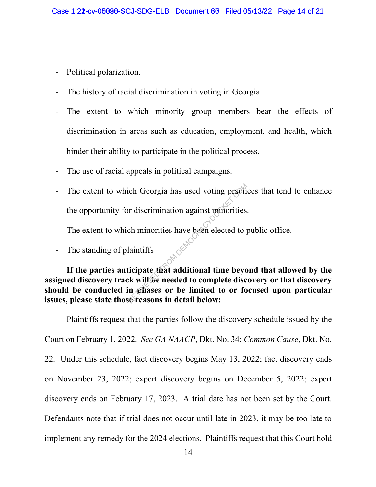- Political polarization.
- The history of racial discrimination in voting in Georgia.
- The extent to which minority group members bear the effects of discrimination in areas such as education, employment, and health, which hinder their ability to participate in the political process.
- The use of racial appeals in political campaigns.
- The extent to which Georgia has used voting practices that tend to enhance the opportunity for discrimination against minorities.
- The extent to which minorities have been elected to public office.
- The standing of plaintiffs

**If the parties anticipate that additional time beyond that allowed by the assigned discovery track will be needed to complete discovery or that discovery should be conducted in phases or be limited to or focused upon particular issues, please state those reasons in detail below:** ich Georgia has used voting praction<br>or discrimination against munorities.<br>ch minorities have been elected to p<br>laintiffs<br>ticipate that additional time beyong the village medded to complete disc<br>in phases or be limited to

Plaintiffs request that the parties follow the discovery schedule issued by the Court on February 1, 2022. *See GA NAACP*, Dkt. No. 34; *Common Cause*, Dkt. No. 22. Under this schedule, fact discovery begins May 13, 2022; fact discovery ends on November 23, 2022; expert discovery begins on December 5, 2022; expert discovery ends on February 17, 2023. A trial date has not been set by the Court. Defendants note that if trial does not occur until late in 2023, it may be too late to implement any remedy for the 2024 elections. Plaintiffs request that this Court hold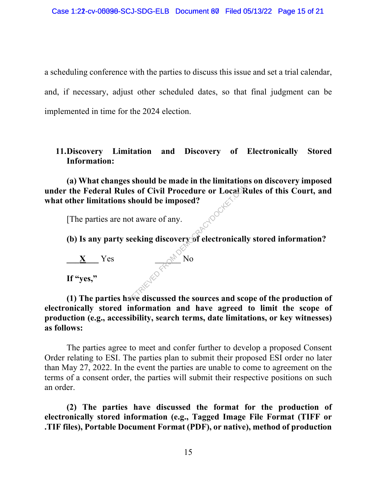a scheduling conference with the parties to discuss this issue and set a trial calendar, and, if necessary, adjust other scheduled dates, so that final judgment can be implemented in time for the 2024 election.

#### **11.Discovery Limitation and Discovery of Electronically Stored Information:**

**(a) What changes should be made in the limitations on discovery imposed under the Federal Rules of Civil Procedure or Local Rules of this Court, and what other limitations should be imposed?**  EXAMPLE IN THE INTERNATION OF SHOWLE OF LOCAL Should be imposed?<br>
Should be imposed?<br>
Seeking discovery of electronically<br>
No<br>
Seeking discussed the sources and sco

[The parties are not aware of any.

**(b) Is any party seeking discovery of electronically stored information?** 

 $\underline{\mathbf{X}}$  Yes  $\begin{bmatrix} \mathbf{X}^{\mathbf{N}} & \mathbf{N} \end{bmatrix}$ **If "yes,"**

**(1) The parties have discussed the sources and scope of the production of electronically stored information and have agreed to limit the scope of production (e.g., accessibility, search terms, date limitations, or key witnesses) as follows:** 

The parties agree to meet and confer further to develop a proposed Consent Order relating to ESI. The parties plan to submit their proposed ESI order no later than May 27, 2022. In the event the parties are unable to come to agreement on the terms of a consent order, the parties will submit their respective positions on such an order.

**(2) The parties have discussed the format for the production of electronically stored information (e.g., Tagged Image File Format (TIFF or .TIF files), Portable Document Format (PDF), or native), method of production**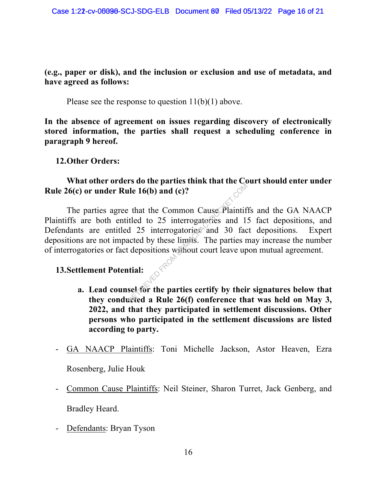#### **(e.g., paper or disk), and the inclusion or exclusion and use of metadata, and have agreed as follows:**

Please see the response to question 11(b)(1) above.

**In the absence of agreement on issues regarding discovery of electronically stored information, the parties shall request a scheduling conference in paragraph 9 hereof.**

**12.Other Orders:**

#### **What other orders do the parties think that the Court should enter under Rule 26(c) or under Rule 16(b) and (c)?**

The parties agree that the Common Cause Plaintiffs and the GA NAACP Plaintiffs are both entitled to 25 interrogatories and 15 fact depositions, and Defendants are entitled 25 interrogatories and 30 fact depositions. Expert depositions are not impacted by these limits. The parties may increase the number of interrogatories or fact depositions without court leave upon mutual agreement. The 16(b) and (c)?<br>
Extra the Common Cause Plaintif<br>
itled to 25 interrogatories and 1<br>
d 25 interrogatories and 30 facted by these limits. The parties related by these limits. The parties related<br>
itial:<br>
sel for the par

#### **13.Settlement Potential:**

- **a. Lead counsel for the parties certify by their signatures below that they conducted a Rule 26(f) conference that was held on May 3, 2022, and that they participated in settlement discussions. Other persons who participated in the settlement discussions are listed according to party.**
- GA NAACP Plaintiffs: Toni Michelle Jackson, Astor Heaven, Ezra

Rosenberg, Julie Houk

- Common Cause Plaintiffs: Neil Steiner, Sharon Turret, Jack Genberg, and

Bradley Heard.

- Defendants: Bryan Tyson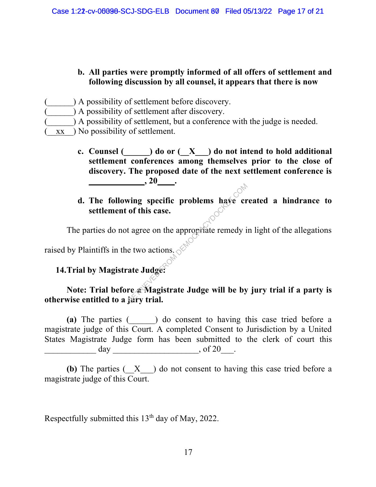#### **b. All parties were promptly informed of all offers of settlement and following discussion by all counsel, it appears that there is now**

- (\_\_\_\_\_\_) A possibility of settlement before discovery.
- (a) A possibility of settlement after discovery.
- (a) A possibility of settlement, but a conference with the judge is needed.
- $\overline{xx}$  ) No possibility of settlement.
	- **c. Counsel (\_\_\_\_\_\_) do or (\_\_X\_\_\_) do not intend to hold additional settlement conferences among themselves prior to the close of discovery. The proposed date of the next settlement conference is**   $\,$  , 20  $\,$   $\,$  .

# **d. The following specific problems have created a hindrance to settlement of this case.** wing specific problems have crof this case.<br>
t agree on the appropriate remedy if<br>
the two actions.<br>
ate Judge:<br>
The a Magistrate Judge will be by

The parties do not agree on the appropriate remedy in light of the allegations

raised by Plaintiffs in the two actions.

### **14.Trial by Magistrate Judge:**

#### Note: Trial before **a** Magistrate Judge will be by jury trial if a party is **otherwise entitled to a jury trial.**

**(a)** The parties (\_\_\_\_\_\_) do consent to having this case tried before a magistrate judge of this Court. A completed Consent to Jurisdiction by a United States Magistrate Judge form has been submitted to the clerk of court this  $\frac{day}{x}$  of 20\_\_\_.

**(b)** The parties (\_\_X\_\_\_) do not consent to having this case tried before a magistrate judge of this Court.

Respectfully submitted this  $13<sup>th</sup>$  day of May, 2022.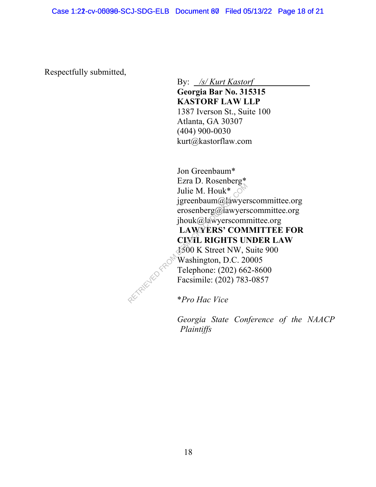Respectfully submitted,

By: */s/ Kurt Kastorf*

**Georgia Bar No. 315315 KASTORF LAW LLP** 1387 Iverson St., Suite 100 Atlanta, GA 30307 (404) 900-0030 kurt@kastorflaw.com

Jon Greenbaum\* Ezra D. Rosenberg\* Julie M. Houk\*  $\circ$ <sup>\\re{\rightar{\rightar{\rightar{\rightar}}}</sup> jgreenbaum@lawyerscommittee.org erosenberg@lawyerscommittee.org jhouk@lawyerscommittee.org **LAWYERS' COMMITTEE FOR CIVIL RIGHTS UNDER LAW** 1500 K Street NW, Suite 900 Washington, D.C. 20005 Telephone: (202) 662-8600 Facsimile: (202) 783-0857

\**Pro Hac Vice*

RETRIEVED F

*Georgia State Conference of the NAACP Plaintiffs*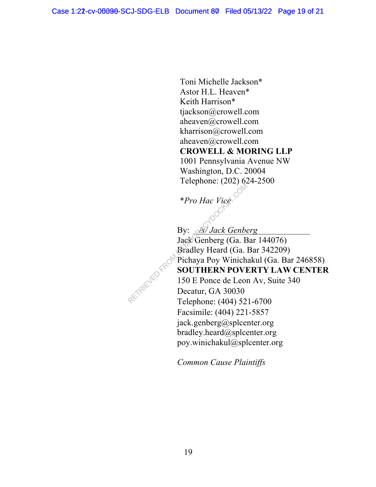Toni Michelle Jackson\* Astor H.L. Heaven\* Keith Harrison\* tjackson@crowell.com aheaven@crowell.com kharrison@crowell.com aheaven@crowell.com **CROWELL & MORING LLP** 1001 Pennsylvania Avenue NW Washington, D.C. 20004 Telephone: (202) 624-2500

\**Pro Hac Vice*

By: */s/ Jack Genberg* Jack Genberg (Ga. Bar 144076) Bradley Heard (Ga. Bar 342209) Pichaya Poy Winichakul (Ga. Bar 246858) **SOUTHERN POVERTY LAW CENTER** 150 E Ponce de Leon Av, Suite 340 Decatur, GA 30030 Telephone: (404) 521-6700 Facsimile: (404) 221-5857 jack.genberg@splcenter.org bradley.heard@splcenter.org poy.winichakul@splcenter.org  $*Pro$  Hac Vice<br>  $*Pro$  Hac Vice<br>  $Bx^2$  Jack Genberg<br>
Jack Genberg (Ga. B<br>
By:  $25$  Jack Genberg<br>
Decatur, GA 30030<br>
Telephone: (404) 52

*Common Cause Plaintiffs*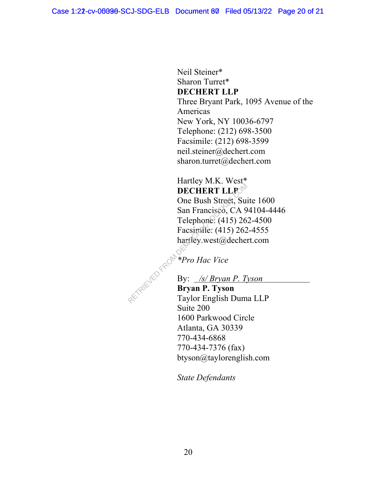Neil Steiner\* Sharon Turret\* **DECHERT LLP** Three Bryant Park, 1095 Avenue of the Americas New York, NY 10036-6797 Telephone: (212) 698-3500 Facsimile: (212) 698-3599 neil.steiner@dechert.com sharon.turret@dechert.com

#### Hartley M.K. West\* **DECHERT LLP**

One Bush Street, Suite 1600 San Francisco, CA 94104-4446 Telephone: (415) 262-4500 Facsimile: (415) 262-4555 hartley.west@dechert.com DECHERT LLP<br>
One Bush Street, Sure<br>
San Francisco, CA 9<br>
Telephone: (415) 26<br>
Facsimile: (415) 262<br>
hartley.west@decher<br>
\*Pro Hac Vice<br>
By: /s/ Bryan P. T.<br>
Bryan P. Tyson<br>
Taylor English Dum

*\*Pro Hac Vice*

#### By: */s/ Bryan P. Tyson*

**Bryan P. Tyson** Taylor English Duma LLP Suite 200 1600 Parkwood Circle Atlanta, GA 30339 770-434-6868 770-434-7376 (fax) btyson@taylorenglish.com

*State Defendants*